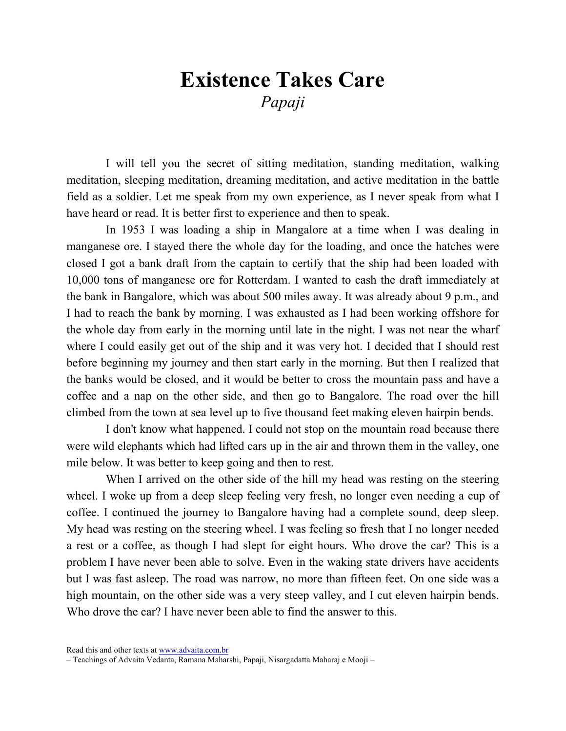## Existence Takes Care Papaji

I will tell you the secret of sitting meditation, standing meditation, walking meditation, sleeping meditation, dreaming meditation, and active meditation in the battle field as a soldier. Let me speak from my own experience, as I never speak from what I have heard or read. It is better first to experience and then to speak.

In 1953 I was loading a ship in Mangalore at a time when I was dealing in manganese ore. I stayed there the whole day for the loading, and once the hatches were closed I got a bank draft from the captain to certify that the ship had been loaded with 10,000 tons of manganese ore for Rotterdam. I wanted to cash the draft immediately at the bank in Bangalore, which was about 500 miles away. It was already about 9 p.m., and I had to reach the bank by morning. I was exhausted as I had been working offshore for the whole day from early in the morning until late in the night. I was not near the wharf where I could easily get out of the ship and it was very hot. I decided that I should rest before beginning my journey and then start early in the morning. But then I realized that the banks would be closed, and it would be better to cross the mountain pass and have a coffee and a nap on the other side, and then go to Bangalore. The road over the hill climbed from the town at sea level up to five thousand feet making eleven hairpin bends.

I don't know what happened. I could not stop on the mountain road because there were wild elephants which had lifted cars up in the air and thrown them in the valley, one mile below. It was better to keep going and then to rest.

When I arrived on the other side of the hill my head was resting on the steering wheel. I woke up from a deep sleep feeling very fresh, no longer even needing a cup of coffee. I continued the journey to Bangalore having had a complete sound, deep sleep. My head was resting on the steering wheel. I was feeling so fresh that I no longer needed a rest or a coffee, as though I had slept for eight hours. Who drove the car? This is a problem I have never been able to solve. Even in the waking state drivers have accidents but I was fast asleep. The road was narrow, no more than fifteen feet. On one side was a high mountain, on the other side was a very steep valley, and I cut eleven hairpin bends. Who drove the car? I have never been able to find the answer to this.

Read this and other texts at www.advaita.com.br

<sup>–</sup> Teachings of Advaita Vedanta, Ramana Maharshi, Papaji, Nisargadatta Maharaj e Mooji –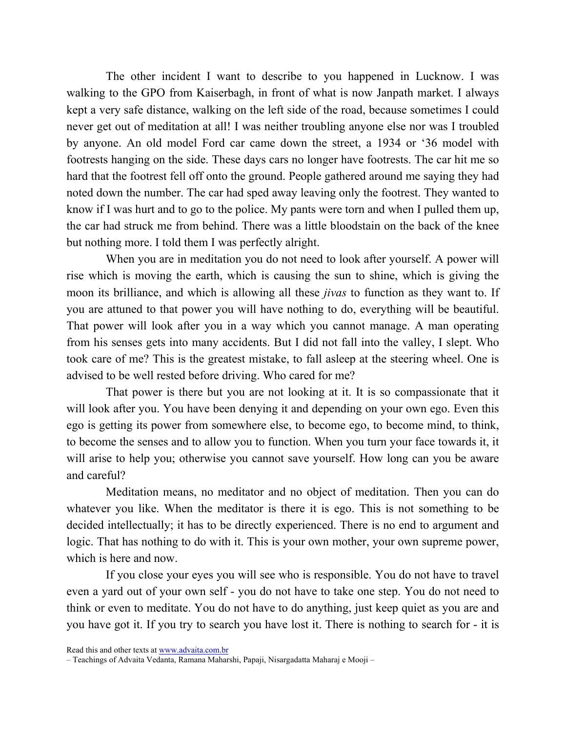The other incident I want to describe to you happened in Lucknow. I was walking to the GPO from Kaiserbagh, in front of what is now Janpath market. I always kept a very safe distance, walking on the left side of the road, because sometimes I could never get out of meditation at all! I was neither troubling anyone else nor was I troubled by anyone. An old model Ford car came down the street, a 1934 or '36 model with footrests hanging on the side. These days cars no longer have footrests. The car hit me so hard that the footrest fell off onto the ground. People gathered around me saying they had noted down the number. The car had sped away leaving only the footrest. They wanted to know if I was hurt and to go to the police. My pants were torn and when I pulled them up, the car had struck me from behind. There was a little bloodstain on the back of the knee but nothing more. I told them I was perfectly alright.

When you are in meditation you do not need to look after yourself. A power will rise which is moving the earth, which is causing the sun to shine, which is giving the moon its brilliance, and which is allowing all these *jivas* to function as they want to. If you are attuned to that power you will have nothing to do, everything will be beautiful. That power will look after you in a way which you cannot manage. A man operating from his senses gets into many accidents. But I did not fall into the valley, I slept. Who took care of me? This is the greatest mistake, to fall asleep at the steering wheel. One is advised to be well rested before driving. Who cared for me?

That power is there but you are not looking at it. It is so compassionate that it will look after you. You have been denying it and depending on your own ego. Even this ego is getting its power from somewhere else, to become ego, to become mind, to think, to become the senses and to allow you to function. When you turn your face towards it, it will arise to help you; otherwise you cannot save yourself. How long can you be aware and careful?

Meditation means, no meditator and no object of meditation. Then you can do whatever you like. When the meditator is there it is ego. This is not something to be decided intellectually; it has to be directly experienced. There is no end to argument and logic. That has nothing to do with it. This is your own mother, your own supreme power, which is here and now.

If you close your eyes you will see who is responsible. You do not have to travel even a yard out of your own self - you do not have to take one step. You do not need to think or even to meditate. You do not have to do anything, just keep quiet as you are and you have got it. If you try to search you have lost it. There is nothing to search for - it is

Read this and other texts at www.advaita.com.br

<sup>–</sup> Teachings of Advaita Vedanta, Ramana Maharshi, Papaji, Nisargadatta Maharaj e Mooji –